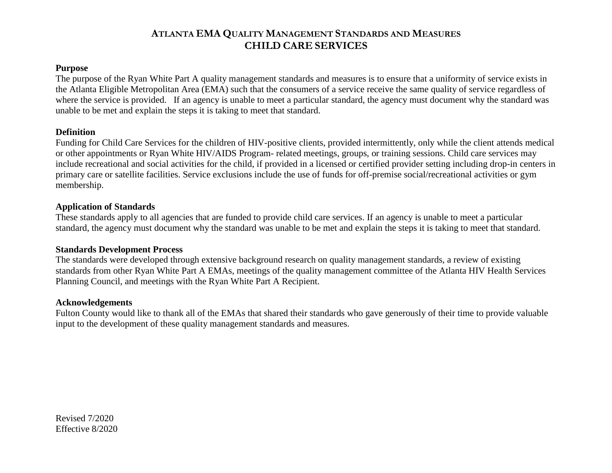#### **Purpose**

The purpose of the Ryan White Part A quality management standards and measures is to ensure that a uniformity of service exists in the Atlanta Eligible Metropolitan Area (EMA) such that the consumers of a service receive the same quality of service regardless of where the service is provided. If an agency is unable to meet a particular standard, the agency must document why the standard was unable to be met and explain the steps it is taking to meet that standard.

### **Definition**

Funding for Child Care Services for the children of HIV-positive clients, provided intermittently, only while the client attends medical or other appointments or Ryan White HIV/AIDS Program- related meetings, groups, or training sessions. Child care services may include recreational and social activities for the child, if provided in a licensed or certified provider setting including drop-in centers in primary care or satellite facilities. Service exclusions include the use of funds for off-premise social/recreational activities or gym membership.

### **Application of Standards**

These standards apply to all agencies that are funded to provide child care services. If an agency is unable to meet a particular standard, the agency must document why the standard was unable to be met and explain the steps it is taking to meet that standard.

### **Standards Development Process**

The standards were developed through extensive background research on quality management standards, a review of existing standards from other Ryan White Part A EMAs, meetings of the quality management committee of the Atlanta HIV Health Services Planning Council, and meetings with the Ryan White Part A Recipient.

### **Acknowledgements**

Fulton County would like to thank all of the EMAs that shared their standards who gave generously of their time to provide valuable input to the development of these quality management standards and measures.

Revised 7/2020 Effective 8/2020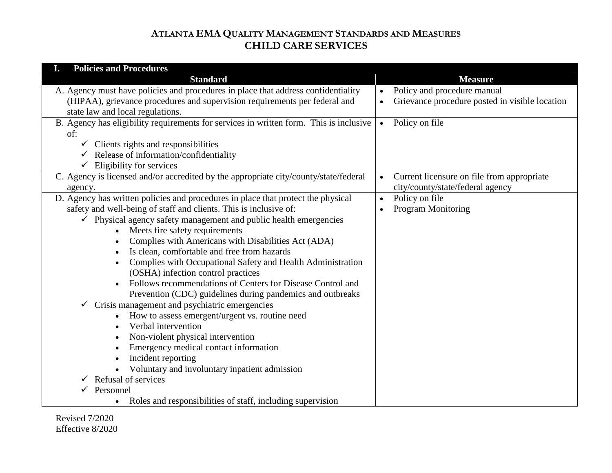| <b>Policies and Procedures</b><br>I.                                                          |                                                             |
|-----------------------------------------------------------------------------------------------|-------------------------------------------------------------|
| <b>Standard</b>                                                                               | <b>Measure</b>                                              |
| A. Agency must have policies and procedures in place that address confidentiality             | Policy and procedure manual                                 |
| (HIPAA), grievance procedures and supervision requirements per federal and                    | Grievance procedure posted in visible location<br>$\bullet$ |
| state law and local regulations.                                                              |                                                             |
| B. Agency has eligibility requirements for services in written form. This is inclusive<br>of: | Policy on file<br>$\bullet$                                 |
| $\checkmark$ Clients rights and responsibilities                                              |                                                             |
| $\checkmark$ Release of information/confidentiality                                           |                                                             |
| $\checkmark$ Eligibility for services                                                         |                                                             |
| C. Agency is licensed and/or accredited by the appropriate city/county/state/federal          | Current licensure on file from appropriate                  |
| agency.                                                                                       | city/county/state/federal agency                            |
| D. Agency has written policies and procedures in place that protect the physical              | Policy on file<br>$\bullet$                                 |
| safety and well-being of staff and clients. This is inclusive of:                             | <b>Program Monitoring</b><br>$\bullet$                      |
| $\checkmark$ Physical agency safety management and public health emergencies                  |                                                             |
| Meets fire safety requirements                                                                |                                                             |
| Complies with Americans with Disabilities Act (ADA)                                           |                                                             |
| Is clean, comfortable and free from hazards                                                   |                                                             |
| Complies with Occupational Safety and Health Administration                                   |                                                             |
| (OSHA) infection control practices                                                            |                                                             |
| Follows recommendations of Centers for Disease Control and                                    |                                                             |
| Prevention (CDC) guidelines during pandemics and outbreaks                                    |                                                             |
| Crisis management and psychiatric emergencies<br>✓                                            |                                                             |
| How to assess emergent/urgent vs. routine need                                                |                                                             |
| Verbal intervention                                                                           |                                                             |
| Non-violent physical intervention                                                             |                                                             |
| Emergency medical contact information                                                         |                                                             |
| Incident reporting                                                                            |                                                             |
| Voluntary and involuntary inpatient admission                                                 |                                                             |
| Refusal of services                                                                           |                                                             |
| Personnel                                                                                     |                                                             |
| Roles and responsibilities of staff, including supervision<br>$\bullet$                       |                                                             |

Revised 7/2020 Effective 8/2020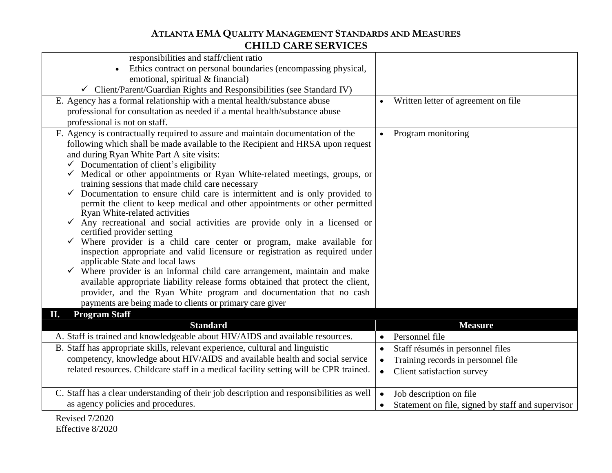| responsibilities and staff/client ratio                                                            |           |                                                   |
|----------------------------------------------------------------------------------------------------|-----------|---------------------------------------------------|
| Ethics contract on personal boundaries (encompassing physical,                                     |           |                                                   |
| emotional, spiritual & financial)                                                                  |           |                                                   |
| $\checkmark$ Client/Parent/Guardian Rights and Responsibilities (see Standard IV)                  |           |                                                   |
| E. Agency has a formal relationship with a mental health/substance abuse                           |           | Written letter of agreement on file               |
| professional for consultation as needed if a mental health/substance abuse                         |           |                                                   |
| professional is not on staff.                                                                      |           |                                                   |
| F. Agency is contractually required to assure and maintain documentation of the                    |           | Program monitoring                                |
| following which shall be made available to the Recipient and HRSA upon request                     |           |                                                   |
| and during Ryan White Part A site visits:                                                          |           |                                                   |
| $\checkmark$ Documentation of client's eligibility                                                 |           |                                                   |
| Medical or other appointments or Ryan White-related meetings, groups, or                           |           |                                                   |
| training sessions that made child care necessary                                                   |           |                                                   |
| Documentation to ensure child care is intermittent and is only provided to                         |           |                                                   |
| permit the client to keep medical and other appointments or other permitted                        |           |                                                   |
| Ryan White-related activities                                                                      |           |                                                   |
| $\checkmark$ Any recreational and social activities are provide only in a licensed or              |           |                                                   |
| certified provider setting<br>Where provider is a child care center or program, make available for |           |                                                   |
| inspection appropriate and valid licensure or registration as required under                       |           |                                                   |
| applicable State and local laws                                                                    |           |                                                   |
| Where provider is an informal child care arrangement, maintain and make                            |           |                                                   |
| available appropriate liability release forms obtained that protect the client,                    |           |                                                   |
| provider, and the Ryan White program and documentation that no cash                                |           |                                                   |
| payments are being made to clients or primary care giver                                           |           |                                                   |
| <b>Program Staff</b><br>П.                                                                         |           |                                                   |
| <b>Standard</b>                                                                                    |           | <b>Measure</b>                                    |
| A. Staff is trained and knowledgeable about HIV/AIDS and available resources.                      |           | Personnel file                                    |
| B. Staff has appropriate skills, relevant experience, cultural and linguistic                      | $\bullet$ | Staff résumés in personnel files                  |
| competency, knowledge about HIV/AIDS and available health and social service                       | $\bullet$ | Training records in personnel file                |
| related resources. Childcare staff in a medical facility setting will be CPR trained.              |           | Client satisfaction survey                        |
|                                                                                                    |           |                                                   |
| C. Staff has a clear understanding of their job description and responsibilities as well           | $\bullet$ | Job description on file                           |
| as agency policies and procedures.                                                                 |           | Statement on file, signed by staff and supervisor |
| $R$ evised $7/2020$                                                                                |           |                                                   |
|                                                                                                    |           |                                                   |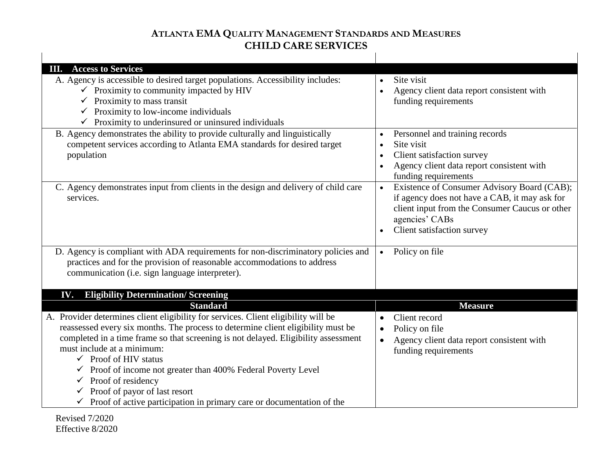| <b>III.</b> Access to Services                                                                                                                                                                                                                                                                                                                                                                                                                                                                                                                                                             |                                                                                                                                                                                                             |
|--------------------------------------------------------------------------------------------------------------------------------------------------------------------------------------------------------------------------------------------------------------------------------------------------------------------------------------------------------------------------------------------------------------------------------------------------------------------------------------------------------------------------------------------------------------------------------------------|-------------------------------------------------------------------------------------------------------------------------------------------------------------------------------------------------------------|
| A. Agency is accessible to desired target populations. Accessibility includes:<br>$\checkmark$ Proximity to community impacted by HIV<br>Proximity to mass transit<br>$\checkmark$ Proximity to low-income individuals<br>Proximity to underinsured or uninsured individuals                                                                                                                                                                                                                                                                                                               | Site visit<br>$\bullet$<br>Agency client data report consistent with<br>$\bullet$<br>funding requirements                                                                                                   |
| B. Agency demonstrates the ability to provide culturally and linguistically<br>competent services according to Atlanta EMA standards for desired target<br>population                                                                                                                                                                                                                                                                                                                                                                                                                      | Personnel and training records<br>$\bullet$<br>Site visit<br>$\bullet$<br>Client satisfaction survey<br>$\bullet$<br>Agency client data report consistent with<br>funding requirements                      |
| C. Agency demonstrates input from clients in the design and delivery of child care<br>services.                                                                                                                                                                                                                                                                                                                                                                                                                                                                                            | Existence of Consumer Advisory Board (CAB);<br>$\bullet$<br>if agency does not have a CAB, it may ask for<br>client input from the Consumer Caucus or other<br>agencies' CABs<br>Client satisfaction survey |
| D. Agency is compliant with ADA requirements for non-discriminatory policies and<br>practices and for the provision of reasonable accommodations to address<br>communication (i.e. sign language interpreter).                                                                                                                                                                                                                                                                                                                                                                             | Policy on file<br>$\bullet$                                                                                                                                                                                 |
| <b>Eligibility Determination/ Screening</b><br>IV.                                                                                                                                                                                                                                                                                                                                                                                                                                                                                                                                         |                                                                                                                                                                                                             |
| <b>Standard</b><br>A. Provider determines client eligibility for services. Client eligibility will be<br>reassessed every six months. The process to determine client eligibility must be<br>completed in a time frame so that screening is not delayed. Eligibility assessment<br>must include at a minimum:<br>$\checkmark$ Proof of HIV status<br>$\checkmark$ Proof of income not greater than 400% Federal Poverty Level<br>$\checkmark$ Proof of residency<br>Proof of payor of last resort<br>$\checkmark$<br>Proof of active participation in primary care or documentation of the | <b>Measure</b><br>Client record<br>Policy on file<br>$\bullet$<br>Agency client data report consistent with<br>funding requirements                                                                         |

Revised 7/2020 Effective 8/2020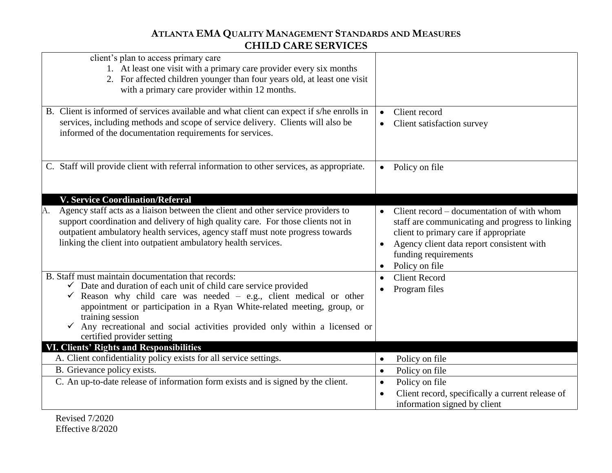| client's plan to access primary care<br>1. At least one visit with a primary care provider every six months<br>2. For affected children younger than four years old, at least one visit<br>with a primary care provider within 12 months.                                                                                                                                                                                                   |                                                                                                                                                                                                                                            |
|---------------------------------------------------------------------------------------------------------------------------------------------------------------------------------------------------------------------------------------------------------------------------------------------------------------------------------------------------------------------------------------------------------------------------------------------|--------------------------------------------------------------------------------------------------------------------------------------------------------------------------------------------------------------------------------------------|
| B. Client is informed of services available and what client can expect if s/he enrolls in<br>services, including methods and scope of service delivery. Clients will also be<br>informed of the documentation requirements for services.                                                                                                                                                                                                    | Client record<br>$\bullet$<br>Client satisfaction survey                                                                                                                                                                                   |
| C. Staff will provide client with referral information to other services, as appropriate.                                                                                                                                                                                                                                                                                                                                                   | Policy on file<br>$\bullet$                                                                                                                                                                                                                |
| <b>V. Service Coordination/Referral</b><br>Agency staff acts as a liaison between the client and other service providers to<br>А.<br>support coordination and delivery of high quality care. For those clients not in<br>outpatient ambulatory health services, agency staff must note progress towards<br>linking the client into outpatient ambulatory health services.                                                                   | Client record – documentation of with whom<br>staff are communicating and progress to linking<br>client to primary care if appropriate<br>Agency client data report consistent with<br>funding requirements<br>Policy on file<br>$\bullet$ |
| B. Staff must maintain documentation that records:<br>$\checkmark$ Date and duration of each unit of child care service provided<br>$\checkmark$ Reason why child care was needed – e.g., client medical or other<br>appointment or participation in a Ryan White-related meeting, group, or<br>training session<br>Any recreational and social activities provided only within a licensed or<br>$\checkmark$<br>certified provider setting | <b>Client Record</b><br>Program files                                                                                                                                                                                                      |
| <b>VI. Clients' Rights and Responsibilities</b>                                                                                                                                                                                                                                                                                                                                                                                             |                                                                                                                                                                                                                                            |
| A. Client confidentiality policy exists for all service settings.                                                                                                                                                                                                                                                                                                                                                                           | Policy on file<br>$\bullet$                                                                                                                                                                                                                |
| B. Grievance policy exists.                                                                                                                                                                                                                                                                                                                                                                                                                 | Policy on file<br>$\bullet$                                                                                                                                                                                                                |
| C. An up-to-date release of information form exists and is signed by the client.                                                                                                                                                                                                                                                                                                                                                            | Policy on file<br>$\bullet$<br>Client record, specifically a current release of<br>information signed by client                                                                                                                            |